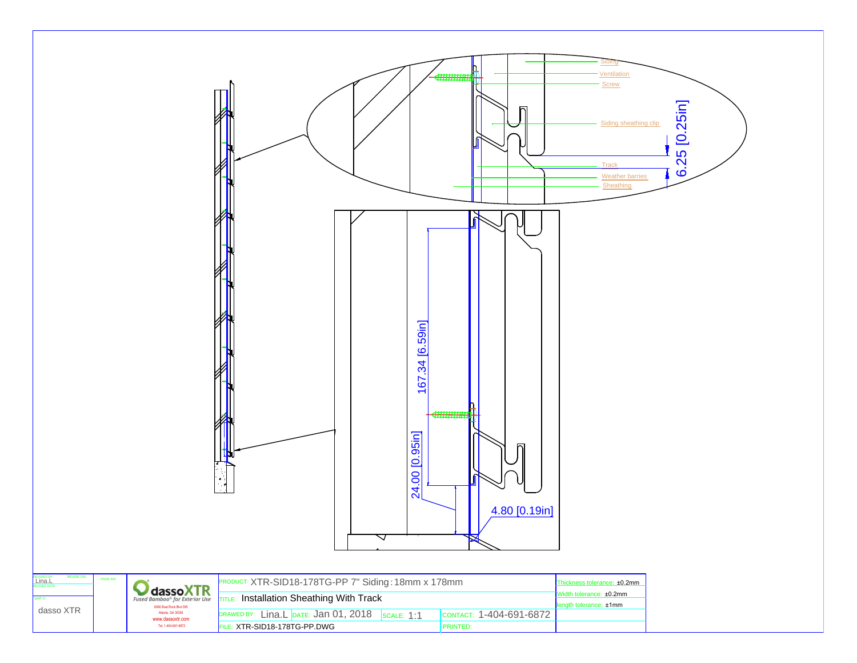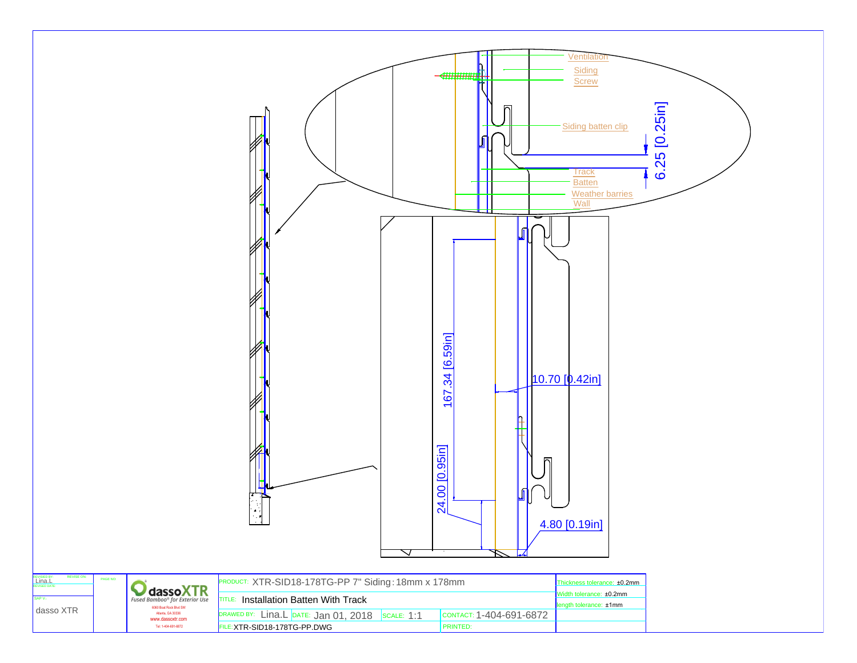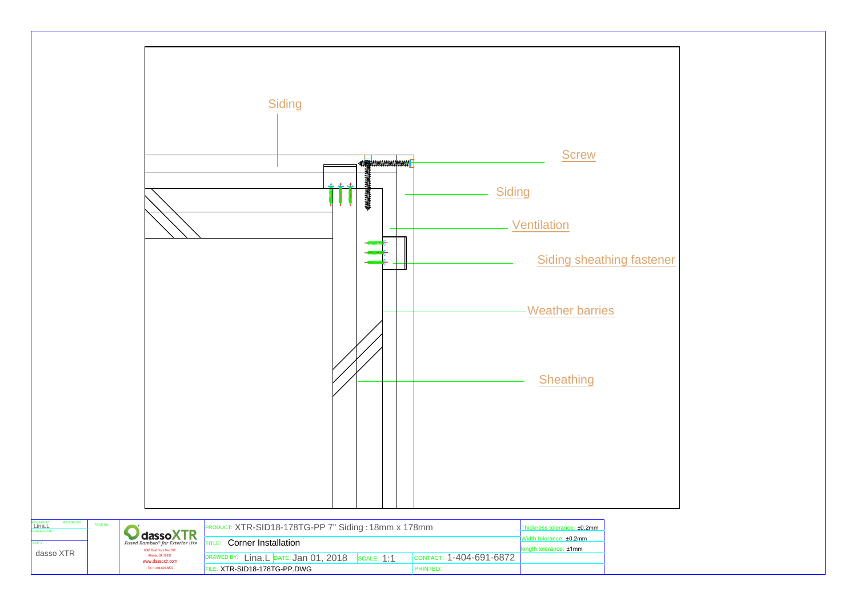

| REVISIED BY:<br>Lina.L<br><b>REVISE ON:</b><br><b>REVISED DATE:</b> | PAGE NO: | dassoXTR                                                 | PRODUCT: XTR-SID18-178TG-PP 7" Siding: 18mm x 178mm |                                                   |  |                                             | Thickness tolerance: ±0.2mm |  |
|---------------------------------------------------------------------|----------|----------------------------------------------------------|-----------------------------------------------------|---------------------------------------------------|--|---------------------------------------------|-----------------------------|--|
| SAP <sub>V</sub> :                                                  |          | Fused Bamboo® for Exterior Use<br>6060 Boat Rock Blvd SW | Corner Installation<br><b>ITITLE:</b>               | Width tolerance: ±0.2mm<br>length tolerance: ±1mm |  |                                             |                             |  |
| dasso XTR                                                           |          | Atlanta, GA 30336<br>www.dassoxtr.com                    | DRAWED BY: Lina.L DATE: Jan 01, 2018 SCALE: 1:1     |                                                   |  | $\overline{\text{COMTACT:}}$ 1-404-691-6872 |                             |  |
|                                                                     |          | Tel: 1-404-691-6872                                      | FILE: XTR-SID18-178TG-PP.DWG                        |                                                   |  | <b>PRINTED:</b>                             |                             |  |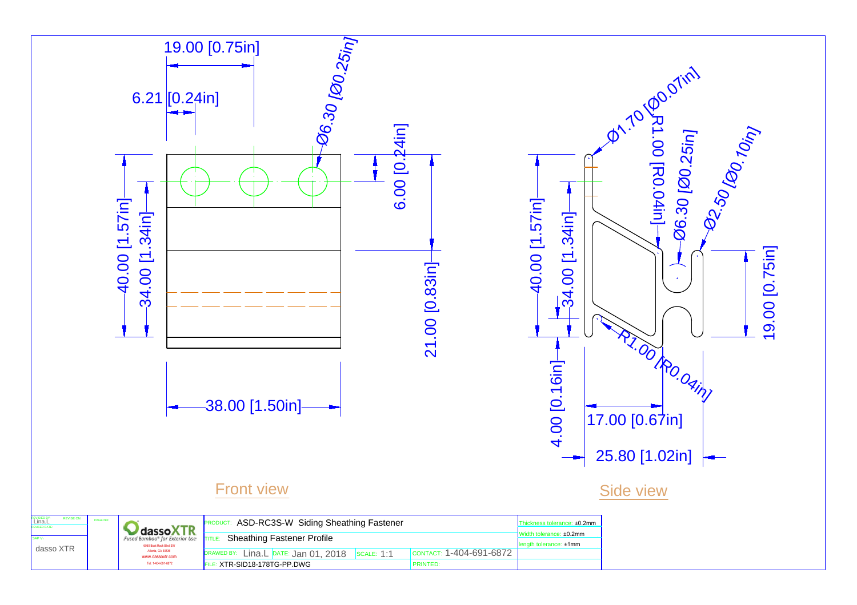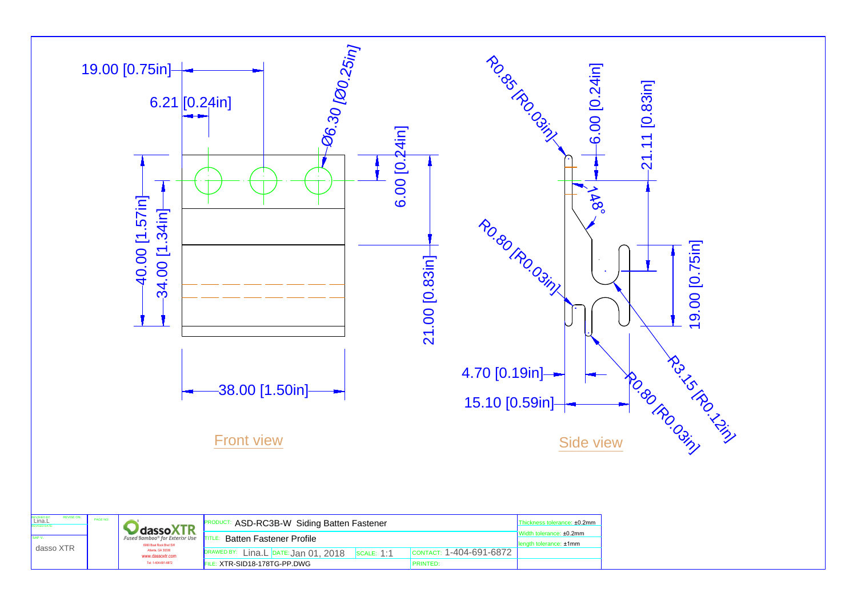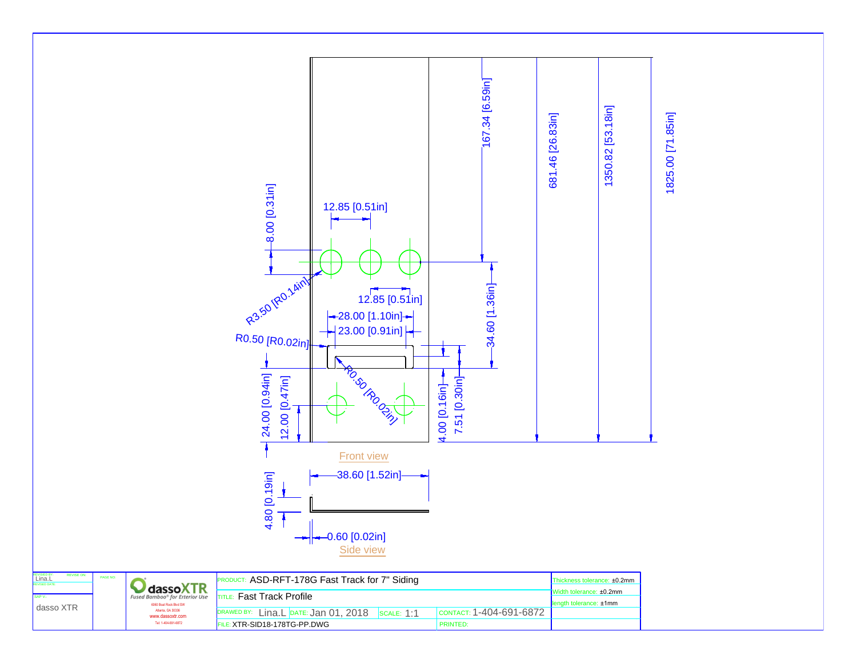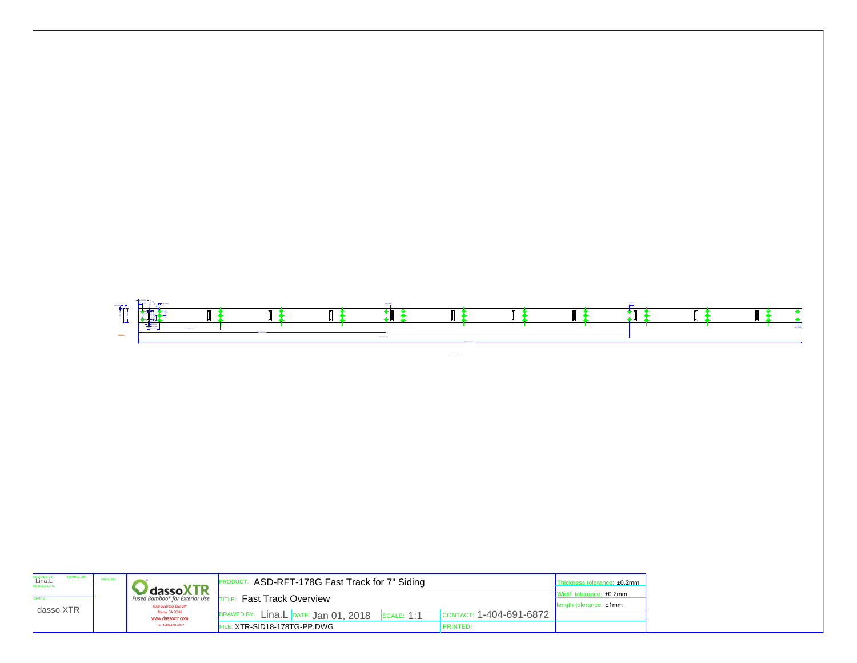|                                                                    | T<br>$\frac{1}{2}$ | FINt                                                           | ∏ ≹                                                                                                                                    | ∏ ≵ | 打 | I                       | ∥≹                                                                               | 打 | I<br>_∔ | ℿ |
|--------------------------------------------------------------------|--------------------|----------------------------------------------------------------|----------------------------------------------------------------------------------------------------------------------------------------|-----|---|-------------------------|----------------------------------------------------------------------------------|---|---------|---|
|                                                                    |                    |                                                                |                                                                                                                                        |     |   |                         |                                                                                  |   |         |   |
|                                                                    |                    |                                                                |                                                                                                                                        |     |   |                         |                                                                                  |   |         |   |
| <b>REVISE ON:</b><br>REVISIED BY:<br>Lina.L<br>SAP V:<br>dasso XTR | PAGE NO:           | <b>CassoXTR</b><br>6060 Boat Rock Blvd SW<br>Atlanta, GA 30336 | PRODUCT: ASD-RFT-178G Fast Track for 7" Siding<br><b>TITLE:</b> Fast Track Overview<br>DRAWED BY: Lina.L DATE: Jan 01, 2018 SCALE: 1:1 |     |   | CONTACT: 1-404-691-6872 | Thickness tolerance: ±0.2mm<br>Width tolerance: ±0.2mm<br>length tolerance: ±1mm |   |         |   |
|                                                                    |                    | www.dassoxtr.com<br>Tel: 1-404-691-6872                        | FILE: XTR-SID18-178TG-PP.DWG                                                                                                           |     |   | <b>PRINTED:</b>         |                                                                                  |   |         |   |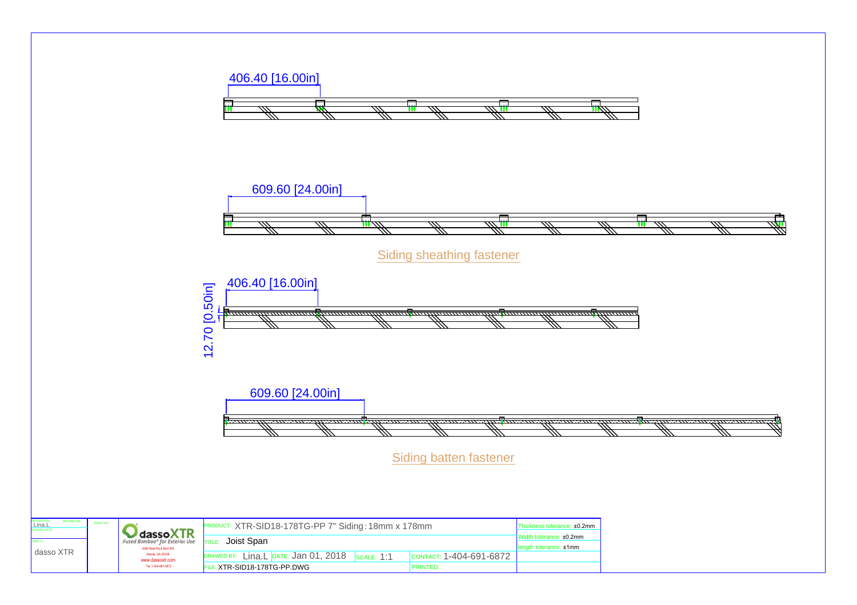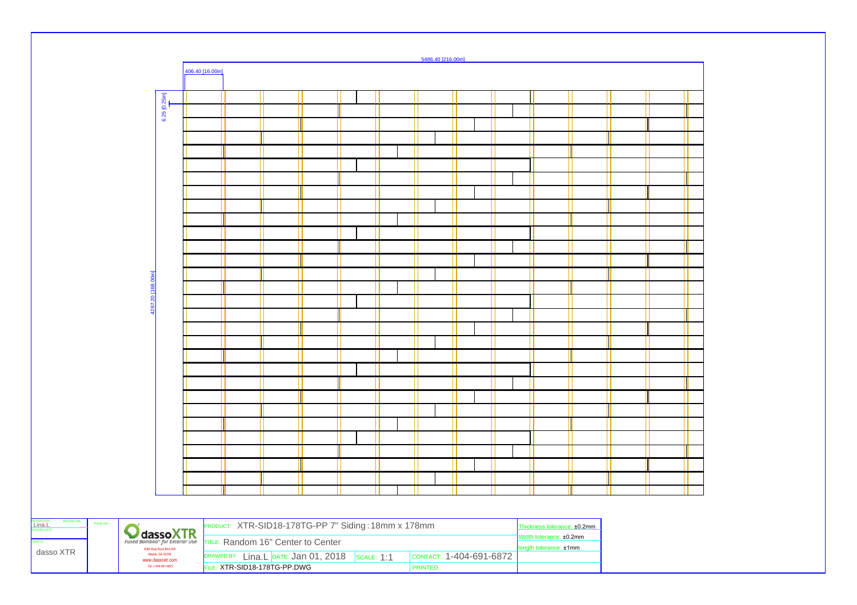|                                                                  |                          |                                                                                                    |                  |                                                     |  |  |  |  | 5486.40 [216.00in]      |  |                             |  |  |
|------------------------------------------------------------------|--------------------------|----------------------------------------------------------------------------------------------------|------------------|-----------------------------------------------------|--|--|--|--|-------------------------|--|-----------------------------|--|--|
|                                                                  |                          |                                                                                                    | 406.40 [16.00in] |                                                     |  |  |  |  |                         |  |                             |  |  |
|                                                                  |                          |                                                                                                    |                  |                                                     |  |  |  |  |                         |  |                             |  |  |
|                                                                  |                          | 6.25 [0.25in]                                                                                      |                  |                                                     |  |  |  |  |                         |  |                             |  |  |
|                                                                  |                          |                                                                                                    |                  |                                                     |  |  |  |  |                         |  |                             |  |  |
|                                                                  |                          |                                                                                                    |                  |                                                     |  |  |  |  |                         |  |                             |  |  |
|                                                                  |                          |                                                                                                    |                  |                                                     |  |  |  |  |                         |  |                             |  |  |
|                                                                  |                          |                                                                                                    |                  |                                                     |  |  |  |  |                         |  |                             |  |  |
|                                                                  |                          |                                                                                                    |                  |                                                     |  |  |  |  |                         |  |                             |  |  |
|                                                                  |                          |                                                                                                    |                  |                                                     |  |  |  |  |                         |  |                             |  |  |
|                                                                  |                          |                                                                                                    |                  |                                                     |  |  |  |  |                         |  |                             |  |  |
|                                                                  |                          |                                                                                                    |                  |                                                     |  |  |  |  |                         |  |                             |  |  |
|                                                                  |                          |                                                                                                    |                  |                                                     |  |  |  |  |                         |  |                             |  |  |
|                                                                  |                          |                                                                                                    |                  |                                                     |  |  |  |  |                         |  |                             |  |  |
|                                                                  |                          |                                                                                                    |                  |                                                     |  |  |  |  |                         |  |                             |  |  |
|                                                                  |                          |                                                                                                    |                  |                                                     |  |  |  |  |                         |  |                             |  |  |
|                                                                  | 20 <sub>[168.00in]</sub> |                                                                                                    |                  |                                                     |  |  |  |  |                         |  |                             |  |  |
|                                                                  |                          |                                                                                                    |                  |                                                     |  |  |  |  |                         |  |                             |  |  |
|                                                                  |                          |                                                                                                    |                  |                                                     |  |  |  |  |                         |  |                             |  |  |
|                                                                  |                          |                                                                                                    |                  |                                                     |  |  |  |  |                         |  |                             |  |  |
|                                                                  |                          |                                                                                                    |                  |                                                     |  |  |  |  |                         |  |                             |  |  |
|                                                                  |                          |                                                                                                    |                  |                                                     |  |  |  |  |                         |  |                             |  |  |
|                                                                  |                          |                                                                                                    |                  |                                                     |  |  |  |  |                         |  |                             |  |  |
|                                                                  |                          |                                                                                                    |                  |                                                     |  |  |  |  |                         |  |                             |  |  |
|                                                                  |                          |                                                                                                    |                  |                                                     |  |  |  |  |                         |  |                             |  |  |
|                                                                  |                          |                                                                                                    |                  |                                                     |  |  |  |  |                         |  |                             |  |  |
|                                                                  |                          |                                                                                                    |                  |                                                     |  |  |  |  |                         |  |                             |  |  |
|                                                                  |                          |                                                                                                    |                  |                                                     |  |  |  |  |                         |  |                             |  |  |
|                                                                  |                          |                                                                                                    |                  |                                                     |  |  |  |  |                         |  |                             |  |  |
|                                                                  |                          |                                                                                                    |                  |                                                     |  |  |  |  |                         |  |                             |  |  |
|                                                                  |                          |                                                                                                    |                  |                                                     |  |  |  |  |                         |  |                             |  |  |
|                                                                  |                          |                                                                                                    |                  |                                                     |  |  |  |  |                         |  |                             |  |  |
|                                                                  |                          |                                                                                                    |                  |                                                     |  |  |  |  |                         |  |                             |  |  |
| REVISE ON:<br>REVISIED BY:<br>Lina.L<br>REVISED DATE<br>PAGE NO: |                          |                                                                                                    |                  | PRODUCT: XTR-SID18-178TG-PP 7" Siding: 18mm x 178mm |  |  |  |  |                         |  | Thickness tolerance: ±0.2mm |  |  |
| SAP V:                                                           |                          | <b>MassoXTR</b>                                                                                    |                  | TITLE: Random 16" Center to Center                  |  |  |  |  |                         |  | Width tolerance: ±0.2mm     |  |  |
| dasso XTR                                                        |                          | 6060 Boat Rock Blvd SW<br>Atlanta, GA 30336<br>www.dassoxtr.com                                    |                  |                                                     |  |  |  |  | CONTACT: 1-404-691-6872 |  | length tolerance: ±1mm      |  |  |
|                                                                  | Tel: 1-404-691-6872      | DRAWED BY: Lina.L DATE: Jan 01, 2018 SCALE: 1:1<br>FILE: XTR-SID18-178TG-PP DWG<br><b>PRINTED:</b> |                  |                                                     |  |  |  |  |                         |  |                             |  |  |